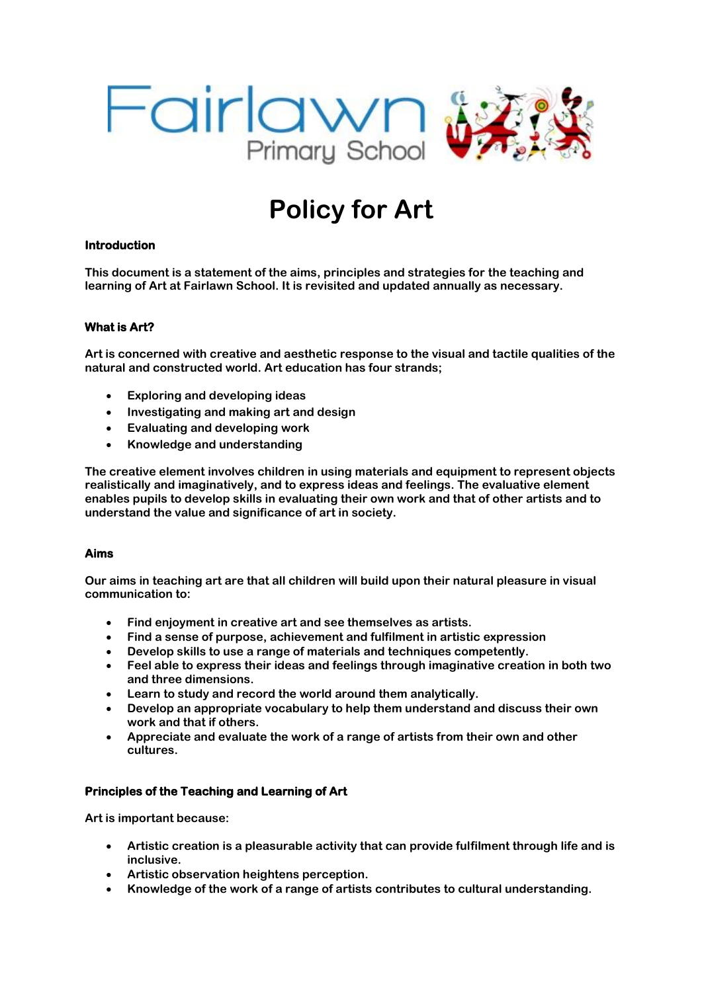

# **Policy for Art**

## **Introduction**

**This document is a statement of the aims, principles and strategies for the teaching and learning of Art at Fairlawn School. It is revisited and updated annually as necessary.** 

## **What is Art?**

**Art is concerned with creative and aesthetic response to the visual and tactile qualities of the natural and constructed world. Art education has four strands;** 

- **Exploring and developing ideas**
- **Investigating and making art and design**
- **Evaluating and developing work**
- **Knowledge and understanding**

**The creative element involves children in using materials and equipment to represent objects realistically and imaginatively, and to express ideas and feelings. The evaluative element enables pupils to develop skills in evaluating their own work and that of other artists and to understand the value and significance of art in society.** 

#### **Aims**

**Our aims in teaching art are that all children will build upon their natural pleasure in visual communication to:** 

- **Find enjoyment in creative art and see themselves as artists.**
- **Find a sense of purpose, achievement and fulfilment in artistic expression**
- **Develop skills to use a range of materials and techniques competently.**
- **Feel able to express their ideas and feelings through imaginative creation in both two and three dimensions.**
- **Learn to study and record the world around them analytically.**
- **Develop an appropriate vocabulary to help them understand and discuss their own work and that if others.**
- **Appreciate and evaluate the work of a range of artists from their own and other cultures.**

#### **Principles of the Teaching and Learning of Art**

**Art is important because:**

- **Artistic creation is a pleasurable activity that can provide fulfilment through life and is inclusive.**
- **Artistic observation heightens perception.**
- **Knowledge of the work of a range of artists contributes to cultural understanding.**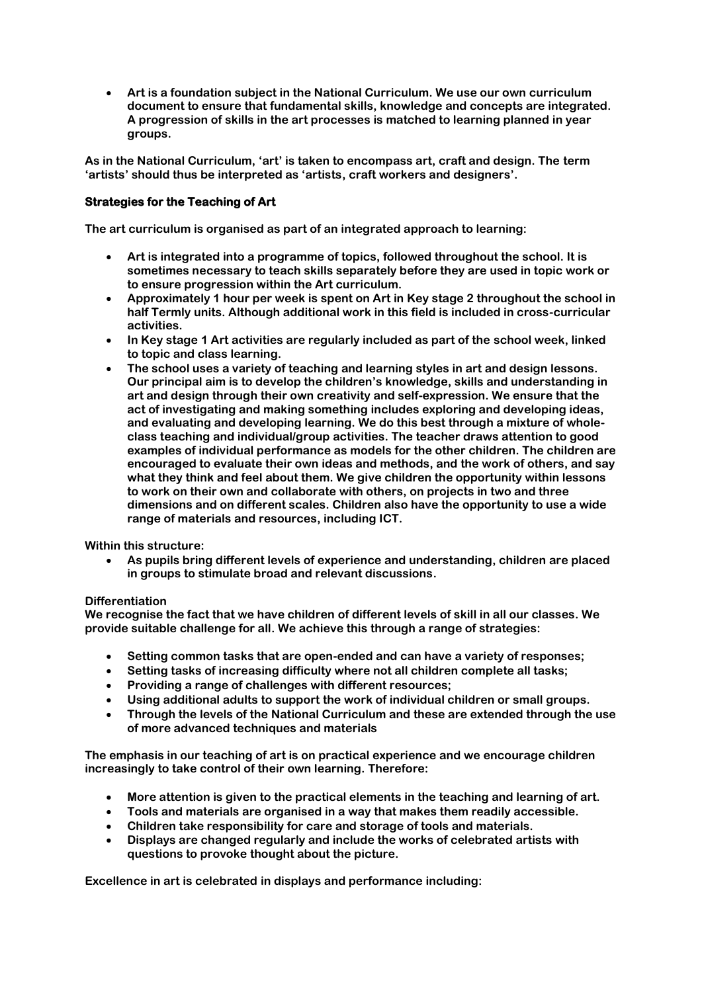• **Art is a foundation subject in the National Curriculum. We use our own curriculum document to ensure that fundamental skills, knowledge and concepts are integrated. A progression of skills in the art processes is matched to learning planned in year groups.** 

**As in the National Curriculum, 'art' is taken to encompass art, craft and design. The term 'artists' should thus be interpreted as 'artists, craft workers and designers'.**

# **Strategies for the Teaching of Art**

**The art curriculum is organised as part of an integrated approach to learning:**

- **Art is integrated into a programme of topics, followed throughout the school. It is sometimes necessary to teach skills separately before they are used in topic work or to ensure progression within the Art curriculum.**
- **Approximately 1 hour per week is spent on Art in Key stage 2 throughout the school in half Termly units. Although additional work in this field is included in cross-curricular activities.**
- **In Key stage 1 Art activities are regularly included as part of the school week, linked to topic and class learning.**
- **The school uses a variety of teaching and learning styles in art and design lessons. Our principal aim is to develop the children's knowledge, skills and understanding in art and design through their own creativity and self-expression. We ensure that the act of investigating and making something includes exploring and developing ideas, and evaluating and developing learning. We do this best through a mixture of wholeclass teaching and individual/group activities. The teacher draws attention to good examples of individual performance as models for the other children. The children are encouraged to evaluate their own ideas and methods, and the work of others, and say what they think and feel about them. We give children the opportunity within lessons to work on their own and collaborate with others, on projects in two and three dimensions and on different scales. Children also have the opportunity to use a wide range of materials and resources, including ICT.**

**Within this structure:**

• **As pupils bring different levels of experience and understanding, children are placed in groups to stimulate broad and relevant discussions.** 

## **Differentiation**

**We recognise the fact that we have children of different levels of skill in all our classes. We provide suitable challenge for all. We achieve this through a range of strategies:**

- **Setting common tasks that are open-ended and can have a variety of responses;**
- **Setting tasks of increasing difficulty where not all children complete all tasks;**
- **Providing a range of challenges with different resources;**
- **Using additional adults to support the work of individual children or small groups.**
- **Through the levels of the National Curriculum and these are extended through the use of more advanced techniques and materials**

**The emphasis in our teaching of art is on practical experience and we encourage children increasingly to take control of their own learning. Therefore:**

- **More attention is given to the practical elements in the teaching and learning of art.**
- **Tools and materials are organised in a way that makes them readily accessible.**
- **Children take responsibility for care and storage of tools and materials.**
- **Displays are changed regularly and include the works of celebrated artists with questions to provoke thought about the picture.**

**Excellence in art is celebrated in displays and performance including:**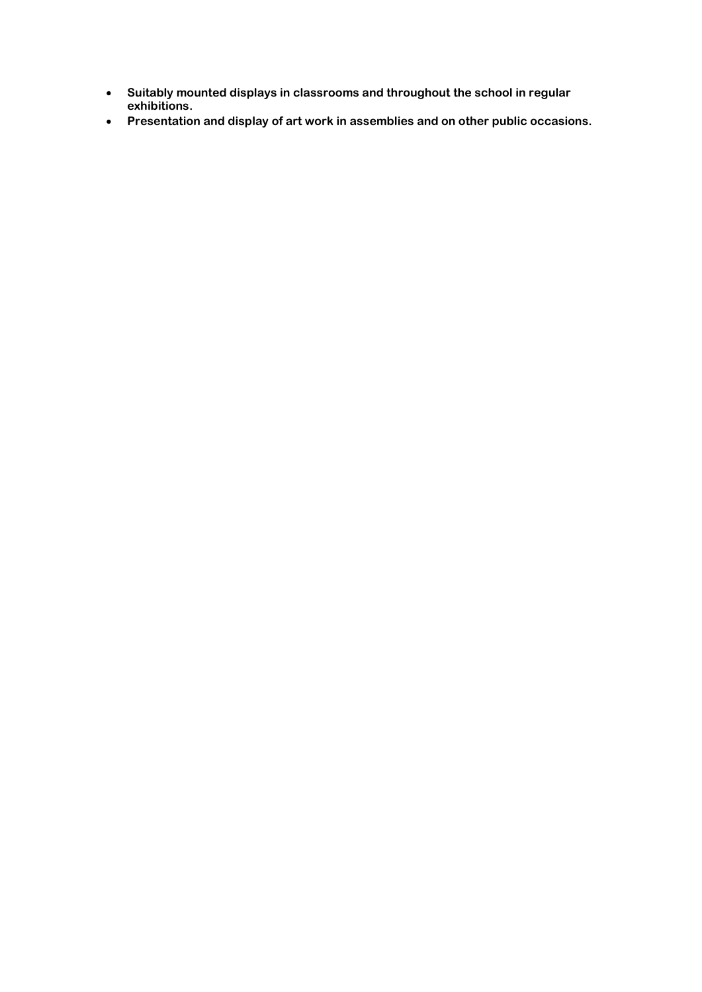- **Suitably mounted displays in classrooms and throughout the school in regular exhibitions.**
- **Presentation and display of art work in assemblies and on other public occasions.**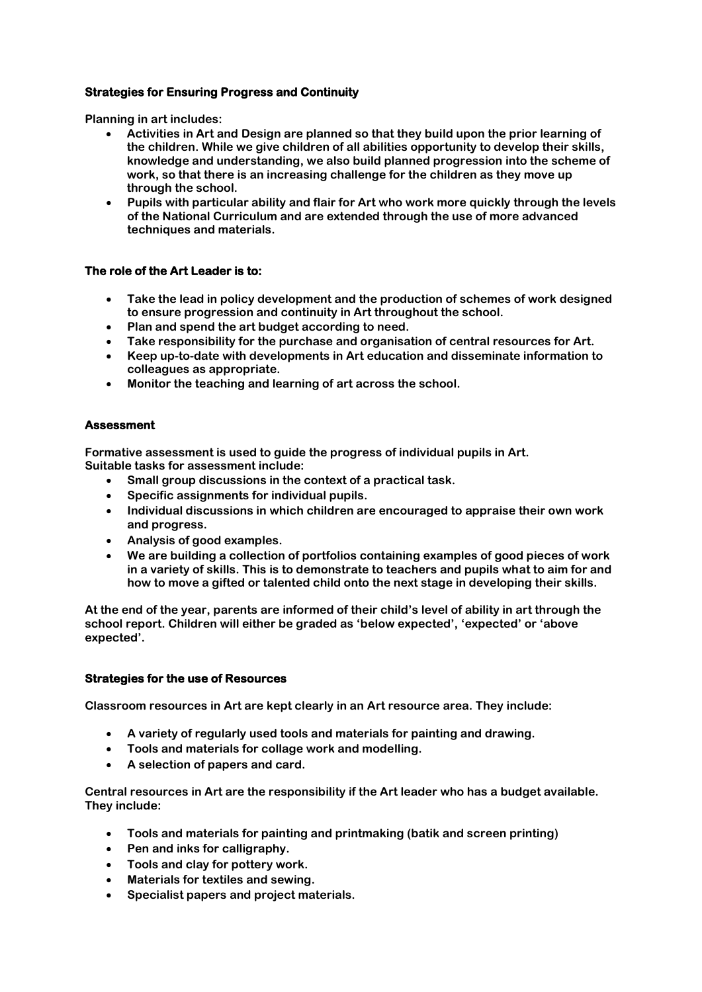# **Strategies for Ensuring Progress and Continuity**

**Planning in art includes:** 

- **Activities in Art and Design are planned so that they build upon the prior learning of the children. While we give children of all abilities opportunity to develop their skills, knowledge and understanding, we also build planned progression into the scheme of work, so that there is an increasing challenge for the children as they move up through the school.**
- **Pupils with particular ability and flair for Art who work more quickly through the levels of the National Curriculum and are extended through the use of more advanced techniques and materials.**

## **The role of the Art Leader is to:**

- **Take the lead in policy development and the production of schemes of work designed to ensure progression and continuity in Art throughout the school.**
- **Plan and spend the art budget according to need.**
- **Take responsibility for the purchase and organisation of central resources for Art.**
- **Keep up-to-date with developments in Art education and disseminate information to colleagues as appropriate.**
- **Monitor the teaching and learning of art across the school.**

# **Assessment**

**Formative assessment is used to guide the progress of individual pupils in Art. Suitable tasks for assessment include:** 

- **Small group discussions in the context of a practical task.**
- **Specific assignments for individual pupils.**
- **Individual discussions in which children are encouraged to appraise their own work and progress.**
- **Analysis of good examples.**
- **We are building a collection of portfolios containing examples of good pieces of work in a variety of skills. This is to demonstrate to teachers and pupils what to aim for and how to move a gifted or talented child onto the next stage in developing their skills.**

**At the end of the year, parents are informed of their child's level of ability in art through the school report. Children will either be graded as 'below expected', 'expected' or 'above expected'.**

## **Strategies for the use of Resources**

**Classroom resources in Art are kept clearly in an Art resource area. They include:**

- **A variety of regularly used tools and materials for painting and drawing.**
- **Tools and materials for collage work and modelling.**
- **A selection of papers and card.**

**Central resources in Art are the responsibility if the Art leader who has a budget available. They include:** 

- **Tools and materials for painting and printmaking (batik and screen printing)**
- **Pen and inks for calligraphy.**
- **Tools and clay for pottery work.**
- **Materials for textiles and sewing.**
- **Specialist papers and project materials.**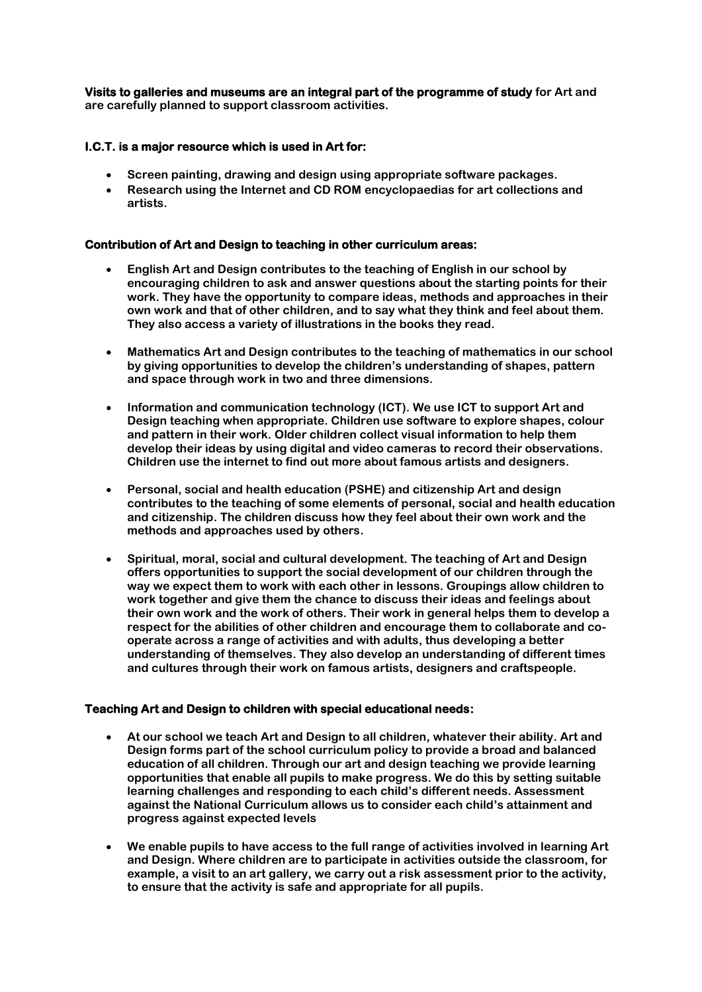**Visits to galleries and museums are an integral part of the programme of study for Art and are carefully planned to support classroom activities.** 

# **I.C.T. is a major resource which is used in Art for:**

- **Screen painting, drawing and design using appropriate software packages.**
- **Research using the Internet and CD ROM encyclopaedias for art collections and artists.**

# **Contribution of Art and Design to teaching in other curriculum areas:**

- **English Art and Design contributes to the teaching of English in our school by encouraging children to ask and answer questions about the starting points for their work. They have the opportunity to compare ideas, methods and approaches in their own work and that of other children, and to say what they think and feel about them. They also access a variety of illustrations in the books they read.**
- **Mathematics Art and Design contributes to the teaching of mathematics in our school by giving opportunities to develop the children's understanding of shapes, pattern and space through work in two and three dimensions.**
- **Information and communication technology (ICT). We use ICT to support Art and Design teaching when appropriate. Children use software to explore shapes, colour and pattern in their work. Older children collect visual information to help them develop their ideas by using digital and video cameras to record their observations. Children use the internet to find out more about famous artists and designers.**
- **Personal, social and health education (PSHE) and citizenship Art and design contributes to the teaching of some elements of personal, social and health education and citizenship. The children discuss how they feel about their own work and the methods and approaches used by others.**
- **Spiritual, moral, social and cultural development. The teaching of Art and Design offers opportunities to support the social development of our children through the way we expect them to work with each other in lessons. Groupings allow children to work together and give them the chance to discuss their ideas and feelings about their own work and the work of others. Their work in general helps them to develop a respect for the abilities of other children and encourage them to collaborate and cooperate across a range of activities and with adults, thus developing a better understanding of themselves. They also develop an understanding of different times and cultures through their work on famous artists, designers and craftspeople.**

## **Teaching Art and Design to children with special educational needs:**

- **At our school we teach Art and Design to all children, whatever their ability. Art and Design forms part of the school curriculum policy to provide a broad and balanced education of all children. Through our art and design teaching we provide learning opportunities that enable all pupils to make progress. We do this by setting suitable learning challenges and responding to each child's different needs. Assessment against the National Curriculum allows us to consider each child's attainment and progress against expected levels**
- **We enable pupils to have access to the full range of activities involved in learning Art and Design. Where children are to participate in activities outside the classroom, for example, a visit to an art gallery, we carry out a risk assessment prior to the activity, to ensure that the activity is safe and appropriate for all pupils.**